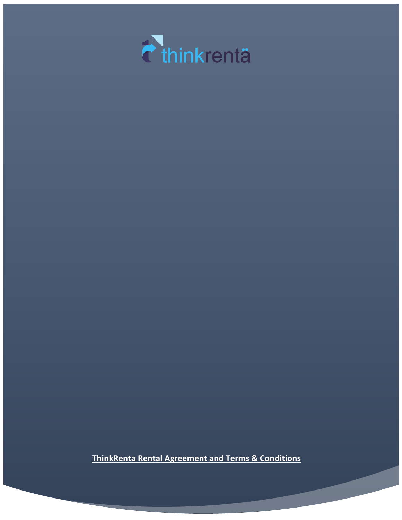

**ThinkRenta Rental Agreement and Terms & Conditions**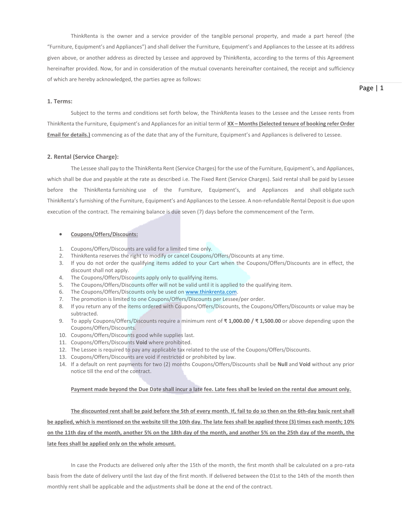ThinkRenta is the owner and a service provider of the tangible personal property, and made a part hereof (the "Furniture, Equipment's and Appliances") and shall deliver the Furniture, Equipment's and Appliances to the Lessee at its address given above, or another address as directed by Lessee and approved by ThinkRenta, according to the terms of this Agreement hereinafter provided. Now, for and in consideration of the mutual covenants hereinafter contained, the receipt and sufficiency of which are hereby acknowledged, the parties agree as follows:

## **1. Terms:**

Subject to the terms and conditions set forth below, the ThinkRenta leases to the Lessee and the Lessee rents from ThinkRenta the Furniture, Equipment's and Appliances for an initial term of **XX – Months (Selected tenure of booking refer Order Email for details.)** commencing as of the date that any of the Furniture, Equipment's and Appliances is delivered to Lessee.

## **2. Rental (Service Charge):**

The Lessee shall pay to the ThinkRenta Rent (Service Charges) for the use of the Furniture, Equipment's, and Appliances, which shall be due and payable at the rate as described i.e. The Fixed Rent (Service Charges). Said rental shall be paid by Lessee before the ThinkRenta furnishing use of the Furniture, Equipment's, and Appliances and shall obligate such ThinkRenta's furnishing of the Furniture, Equipment's and Appliances to the Lessee. A non-refundable Rental Deposit is due upon execution of the contract. The remaining balance is due seven (7) days before the commencement of the Term.

## **Coupons/Offers/Discounts:**

- 1. Coupons/Offers/Discounts are valid for a limited time only.
- 2. ThinkRenta reserves the right to modify or cancel Coupons/Offers/Discounts at any time.
- 3. If you do not order the qualifying items added to your Cart when the Coupons/Offers/Discounts are in effect, the discount shall not apply.
- 4. The Coupons/Offers/Discounts apply only to qualifying items.
- 5. The Coupons/Offers/Discounts offer will not be valid until it is applied to the qualifying item.
- 6. The Coupons/Offers/Discounts only be used on [www.thinkrenta.com.](http://www.thinkrenta.com/)
- 7. The promotion is limited to one Coupons/Offers/Discounts per Lessee/per order.
- 8. If you return any of the items ordered with Coupons/Offers/Discounts, the Coupons/Offers/Discounts or value may be subtracted.
- 9. To apply Coupons/Offers/Discounts require a minimum rent of **₹ 1,000.00 / ₹ 1,500.00** or above depending upon the Coupons/Offers/Discounts.
- 10. Coupons/Offers/Discounts good while supplies last.
- 11. Coupons/Offers/Discounts **Void** where prohibited.
- 12. The Lessee is required to pay any applicable tax related to the use of the Coupons/Offers/Discounts.
- 13. Coupons/Offers/Discounts are void if restricted or prohibited by law.
- 14. If a default on rent payments for two (2) months Coupons/Offers/Discounts shall be **Null** and **Void** without any prior notice till the end of the contract.

## **Payment made beyond the Due Date shall incur a late fee. Late fees shall be levied on the rental due amount only.**

**The discounted rent shall be paid before the 5th of every month. If, fail to do so then on the 6th-day basic rent shall be applied, which is mentioned on the website till the 10th day. The late fees shall be applied three (3) times each month; 10% on the 11th day of the month, another 5% on the 18th day of the month, and another 5% on the 25th day of the month, the late fees shall be applied only on the whole amount.**

In case the Products are delivered only after the 15th of the month, the first month shall be calculated on a pro-rata basis from the date of delivery until the last day of the first month. If delivered between the 01st to the 14th of the month then monthly rent shall be applicable and the adjustments shall be done at the end of the contract.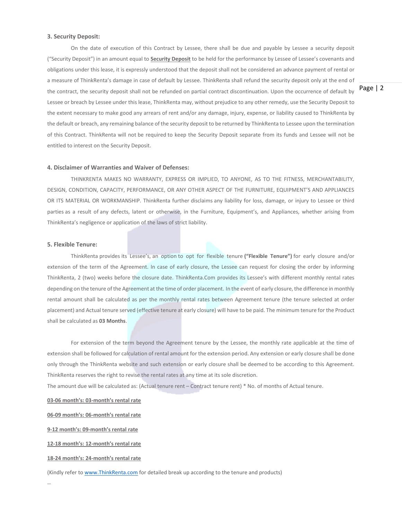## **3. Security Deposit:**

On the date of execution of this Contract by Lessee, there shall be due and payable by Lessee a security deposit ("Security Deposit") in an amount equal to **Security Deposit** to be held for the performance by Lessee of Lessee's covenants and obligations under this lease, it is expressly understood that the deposit shall not be considered an advance payment of rental or a measure of ThinkRenta's damage in case of default by Lessee. ThinkRenta shall refund the security deposit only at the end of the contract, the security deposit shall not be refunded on partial contract discontinuation. Upon the occurrence of default by Lessee or breach by Lessee under this lease, ThinkRenta may, without prejudice to any other remedy, use the Security Deposit to the extent necessary to make good any arrears of rent and/or any damage, injury, expense, or liability caused to ThinkRenta by the default or breach, any remaining balance of the security deposit to be returned by ThinkRenta to Lessee upon the termination of this Contract. ThinkRenta will not be required to keep the Security Deposit separate from its funds and Lessee will not be entitled to interest on the Security Deposit.

#### **4. Disclaimer of Warranties and Waiver of Defenses:**

THINKRENTA MAKES NO WARRANTY, EXPRESS OR IMPLIED, TO ANYONE, AS TO THE FITNESS, MERCHANTABILITY, DESIGN, CONDITION, CAPACITY, PERFORMANCE, OR ANY OTHER ASPECT OF THE FURNITURE, EQUIPMENT'S AND APPLIANCES OR ITS MATERIAL OR WORKMANSHIP. ThinkRenta further disclaims any liability for loss, damage, or injury to Lessee or third parties as a result of any defects, latent or otherwise, in the Furniture, Equipment's, and Appliances, whether arising from ThinkRenta's negligence or application of the laws of strict liability.

## **5. Flexible Tenure:**

ThinkRenta provides its Lessee's, an option to opt for flexible tenure **("Flexible Tenure")** for early closure and/or extension of the term of the Agreement. In case of early closure, the Lessee can request for closing the order by informing ThinkRenta, 2 (two) weeks before the closure date. ThinkRenta.Com provides its Lessee's with different monthly rental rates depending on the tenure of the Agreement at the time of order placement. In the event of early closure, the difference in monthly rental amount shall be calculated as per the monthly rental rates between Agreement tenure (the tenure selected at order placement) and Actual tenure served (effective tenure at early closure) will have to be paid. The minimum tenure for the Product shall be calculated as **03 Months**.

For extension of the term beyond the Agreement tenure by the Lessee, the monthly rate applicable at the time of extension shall be followed for calculation of rental amount for the extension period. Any extension or early closure shall be done only through the ThinkRenta website and such extension or early closure shall be deemed to be according to this Agreement. ThinkRenta reserves the right to revise the rental rates at any time at its sole discretion.

The amount due will be calculated as: (Actual tenure rent – Contract tenure rent) \* No. of months of Actual tenure.

**03-06 month's: 03-month's rental rate**

**06-09 month's: 06-month's rental rate**

**9-12 month's: 09-month's rental rate**

**12-18 month's: 12-month's rental rate**

**18-24 month's: 24-month's rental rate**

(Kindly refer to [www.ThinkRenta.com](http://www.thinkrenta.com/) for detailed break up according to the tenure and products)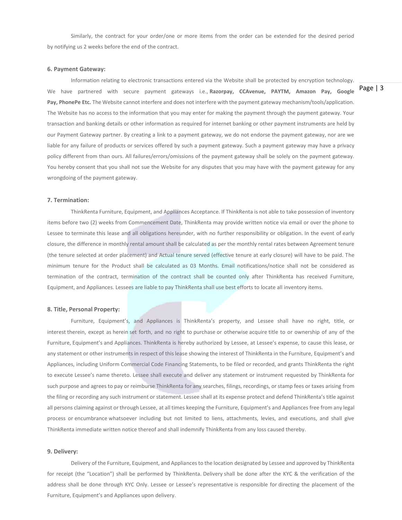Similarly, the contract for your order/one or more items from the order can be extended for the desired period by notifying us 2 weeks before the end of the contract.

## **6. Payment Gateway:**

Information relating to electronic transactions entered via the Website shall be protected by encryption technology. We have partnered with secure payment gateways i.e., **Razorpay, CCAvenue, PAYTM, Amazon Pay, Google Pay, PhonePe Etc.** The Website cannot interfere and does not interfere with the payment gateway mechanism/tools/application. The Website has no access to the information that you may enter for making the payment through the payment gateway. Your transaction and banking details or other information as required for internet banking or other payment instruments are held by our Payment Gateway partner. By creating a link to a payment gateway, we do not endorse the payment gateway, nor are we liable for any failure of products or services offered by such a payment gateway. Such a payment gateway may have a privacy policy different from than ours. All failures/errors/omissions of the payment gateway shall be solely on the payment gateway. You hereby consent that you shall not sue the Website for any disputes that you may have with the payment gateway for any wrongdoing of the payment gateway.

## **7. Termination:**

ThinkRenta Furniture, Equipment, and Appliances Acceptance. If ThinkRenta is not able to take possession of inventory items before two (2) weeks from Commencement Date, ThinkRenta may provide written notice via email or over the phone to Lessee to terminate this lease and all obligations hereunder, with no further responsibility or obligation. In the event of early closure, the difference in monthly rental amount shall be calculated as per the monthly rental rates between Agreement tenure (the tenure selected at order placement) and Actual tenure served (effective tenure at early closure) will have to be paid. The minimum tenure for the Product shall be calculated as 03 Months. Email notifications/notice shall not be considered as termination of the contract, termination of the contract shall be counted only after ThinkRenta has received Furniture, Equipment, and Appliances. Lessees are liable to pay ThinkRenta shall use best efforts to locate all inventory items.

## **8. Title, Personal Property:**

Furniture, Equipment's, and Appliances is ThinkRenta's property, and Lessee shall have no right, title, or interest therein, except as herein set forth, and no right to purchase or otherwise acquire title to or ownership of any of the Furniture, Equipment's and Appliances. ThinkRenta is hereby authorized by Lessee, at Lessee's expense, to cause this lease, or any statement or other instruments in respect of this lease showing the interest of ThinkRenta in the Furniture, Equipment's and Appliances, including Uniform Commercial Code Financing Statements, to be filed or recorded, and grants ThinkRenta the right to execute Lessee's name thereto. Lessee shall execute and deliver any statement or instrument requested by ThinkRenta for such purpose and agrees to pay or reimburse ThinkRenta for any searches, filings, recordings, or stamp fees or taxes arising from the filing or recording any such instrument or statement. Lessee shall at its expense protect and defend ThinkRenta's title against all persons claiming against or through Lessee, at all times keeping the Furniture, Equipment's and Appliances free from any legal process or encumbrance whatsoever including but not limited to liens, attachments, levies, and executions, and shall give ThinkRenta immediate written notice thereof and shall indemnify ThinkRenta from any loss caused thereby.

## **9. Delivery:**

Delivery of the Furniture, Equipment, and Appliances to the location designated by Lessee and approved by ThinkRenta for receipt (the "Location") shall be performed by ThinkRenta. Delivery shall be done after the KYC & the verification of the address shall be done through KYC Only. Lessee or Lessee's representative is responsible for directing the placement of the Furniture, Equipment's and Appliances upon delivery.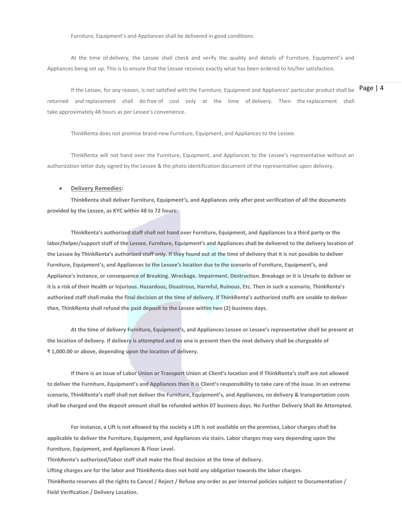Furniture, Equipment's and Appliances shall be delivered in good conditions.

At the time of delivery, the Lessee shall check and verify the quality and details of Furniture, Equipment's and Appliances being set up. This is to ensure that the Lessee receives exactly what has been ordered to his/her satisfaction.

If the Lessee, for any reason, is not satisfied with the Furniture, Equipment and Appliances' particular product shall be  $\vert$  Page  $\vert$  4 returned and replacement shall do free of cost only at the time of delivery. Then the replacement shall take approximately 48 hours as per Lessee's convenience.

ThinkRenta does not promise brand-new Furniture, Equipment, and Appliances to the Lessee.

ThinkRenta will not hand over the Furniture, Equipment, and Appliances to the Lessee's representative without an authorization letter duly signed by the Lessee & the photo identification document of the representative upon delivery.

#### **Delivery Remedies:**

**ThinkRenta shall deliver Furniture, Equipment's, and Appliances only after post verification of all the documents provided by the Lessee, as KYC within 48 to 72 hours.**

**ThinkRenta's authorized staff shall not hand over Furniture, Equipment, and Appliances to a third party or the labor/helper/support staff of the Lessee. Furniture, Equipment's and Appliances shall be delivered to the delivery location of the Lessee by ThinkRenta's authorized staff only. If they found out at the time of delivery that it is not possible to deliver Furniture, Equipment's, and Appliances to the Lessee's location due to the scenario of Furniture, Equipment's, and Appliance's instance, or consequence of Breaking. Wreckage. Impairment. Destruction. Breakage or it is Unsafe to deliver or it is a risk of their Health or Injurious. Hazardous, Disastrous, Harmful, Ruinous, Etc. Then in such a scenario, ThinkRenta's authorized staff shall make the final decision at the time of delivery. If ThinkRenta's authorized staffs are unable to deliver then, ThinkRenta shall refund the paid deposit to the Lessee within two (2) business days.**

**At the time of delivery Furniture, Equipment's, and Appliances Lessee or Lessee's representative shall be present at the location of delivery. If delivery is attempted and no one is present then the next delivery shall be chargeable of ₹ 1,000.00 or above, depending upon the location of delivery.**

**If there is an issue of Labor Union or Transport Union at Client's location and If ThinkRenta's staff are not allowed to deliver the Furniture, Equipment's and Appliances then it is Client's responsibility to take care of the issue. In an extreme scenario, ThinkRenta's staff shall not deliver the Furniture, Equipment's, and Appliances, no delivery & transportation costs shall be charged and the deposit amount shall be refunded within 07 business days. No Further Delivery Shall Be Attempted.**

**For instance, a Lift is not allowed by the society a Lift is not available on the premises, Labor charges shall be applicable to deliver the Furniture, Equipment, and Appliances via stairs. Labor charges may vary depending upon the Furniture, Equipment, and Appliances & Floor Level.**

**ThinkRenta's authorized/labor staff shall make the final decision at the time of delivery.**

**Lifting charges are for the labor and ThinkRenta does not hold any obligation towards the labor charges. ThinkRenta reserves all the rights to Cancel / Reject / Refuse any order as per internal policies subject to Documentation / Field Verification / Delivery Location.**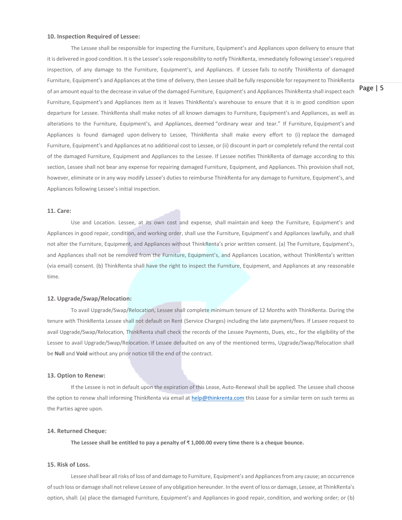## **10. Inspection Required of Lessee:**

The Lessee shall be responsible for inspecting the Furniture, Equipment's and Appliances upon delivery to ensure that it is delivered in good condition. It is the Lessee's sole responsibility to notify ThinkRenta, immediately following Lessee's required inspection, of any damage to the Furniture, Equipment's, and Appliances. If Lessee fails to notify ThinkRenta of damaged Furniture, Equipment's and Appliances at the time of delivery, then Lessee shall be fully responsible for repayment to ThinkRenta of an amount equal to the decrease in value of the damaged Furniture, Equipment's and Appliances ThinkRenta shall inspect each Furniture, Equipment's and Appliances item as it leaves ThinkRenta's warehouse to ensure that it is in good condition upon departure for Lessee. ThinkRenta shall make notes of all known damages to Furniture, Equipment's and Appliances, as well as alterations to the Furniture, Equipment's, and Appliances, deemed "ordinary wear and tear." If Furniture, Equipment's and Appliances is found damaged upon delivery to Lessee, ThinkRenta shall make every effort to (i) replace the damaged Furniture, Equipment's and Appliances at no additional cost to Lessee, or (ii) discount in part or completely refund the rental cost of the damaged Furniture, Equipment and Appliances to the Lessee. If Lessee notifies ThinkRenta of damage according to this section, Lessee shall not bear any expense for repairing damaged Furniture, Equipment, and Appliances. This provision shall not, however, eliminate or in any way modify Lessee's duties to reimburse ThinkRenta for any damage to Furniture, Equipment's, and Appliances following Lessee's initial inspection.

## **11. Care:**

Use and Location. Lessee, at its own cost and expense, shall maintain and keep the Furniture, Equipment's and Appliances in good repair, condition, and working order, shall use the Furniture, Equipment's and Appliances lawfully, and shall not alter the Furniture, Equipment, and Appliances without ThinkRenta's prior written consent. (a) The Furniture, Equipment's, and Appliances shall not be removed from the Furniture, Equipment's, and Appliances Location, without ThinkRenta's written (via email) consent. (b) ThinkRenta shall have the right to inspect the Furniture, Equipment, and Appliances at any reasonable time.

## **12. Upgrade/Swap/Relocation:**

To avail Upgrade/Swap/Relocation, Lessee shall complete minimum tenure of 12 Months with ThinkRenta. During the tenure with ThinkRenta Lessee shall not default on Rent (Service Charges) including the late payment/fees. If Lessee request to avail Upgrade/Swap/Relocation, ThinkRenta shall check the records of the Lessee Payments, Dues, etc., for the eligibility of the Lessee to avail Upgrade/Swap/Relocation. If Lessee defaulted on any of the mentioned terms, Upgrade/Swap/Relocation shall be **Null** and **Void** without any prior notice till the end of the contract.

#### **13. Option to Renew:**

If the Lessee is not in default upon the expiration of this Lease, Auto-Renewal shall be applied. The Lessee shall choose the option to renew shall informing ThinkRenta via email at [help@thinkrenta.com](mailto:help@thinkrenta.com) this Lease for a similar term on such terms as the Parties agree upon.

#### **14. Returned Cheque:**

**The Lessee shall be entitled to pay a penalty of ₹ 1,000.00 every time there is a cheque bounce.**

## **15. Risk of Loss.**

Lessee shall bear all risks of loss of and damage to Furniture, Equipment's and Appliances from any cause; an occurrence of such loss or damage shall not relieve Lessee of any obligation hereunder. In the event of loss or damage, Lessee, at ThinkRenta's option, shall: (a) place the damaged Furniture, Equipment's and Appliances in good repair, condition, and working order; or (b)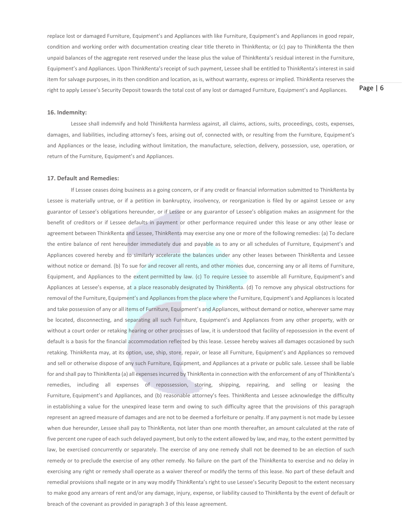replace lost or damaged Furniture, Equipment's and Appliances with like Furniture, Equipment's and Appliances in good repair, condition and working order with documentation creating clear title thereto in ThinkRenta; or (c) pay to ThinkRenta the then unpaid balances of the aggregate rent reserved under the lease plus the value of ThinkRenta's residual interest in the Furniture, Equipment's and Appliances. Upon ThinkRenta's receipt of such payment, Lessee shall be entitled to ThinkRenta's interest in said item for salvage purposes, in its then condition and location, as is, without warranty, express or implied. ThinkRenta reserves the right to apply Lessee's Security Deposit towards the total cost of any lost or damaged Furniture, Equipment's and Appliances.

Page | 6

## **16. Indemnity:**

Lessee shall indemnify and hold ThinkRenta harmless against, all claims, actions, suits, proceedings, costs, expenses, damages, and liabilities, including attorney's fees, arising out of, connected with, or resulting from the Furniture, Equipment's and Appliances or the lease, including without limitation, the manufacture, selection, delivery, possession, use, operation, or return of the Furniture, Equipment's and Appliances.

## **17. Default and Remedies:**

If Lessee ceases doing business as a going concern, or if any credit or financial information submitted to ThinkRenta by Lessee is materially untrue, or if a petition in bankruptcy, insolvency, or reorganization is filed by or against Lessee or any guarantor of Lessee's obligations hereunder, or if Lessee or any guarantor of Lessee's obligation makes an assignment for the benefit of creditors or if Lessee defaults in payment or other performance required under this lease or any other lease or agreement between ThinkRenta and Lessee, ThinkRenta may exercise any one or more of the following remedies: (a) To declare the entire balance of rent hereunder immediately due and payable as to any or all schedules of Furniture, Equipment's and Appliances covered hereby and to similarly accelerate the balances under any other leases between ThinkRenta and Lessee without notice or demand. (b) To sue for and recover all rents, and other monies due, concerning any or all items of Furniture, Equipment, and Appliances to the extent permitted by law. (c) To require Lessee to assemble all Furniture, Equipment's and Appliances at Lessee's expense, at a place reasonably designated by ThinkRenta. (d) To remove any physical obstructions for removal of the Furniture, Equipment's and Appliances from the place where the Furniture, Equipment's and Appliances is located and take possession of any or all items of Furniture, Equipment's and Appliances, without demand or notice, wherever same may be located, disconnecting, and separating all such Furniture, Equipment's and Appliances from any other property, with or without a court order or retaking hearing or other processes of law, it is understood that facility of repossession in the event of default is a basis for the financial accommodation reflected by this lease. Lessee hereby waives all damages occasioned by such retaking. ThinkRenta may, at its option, use, ship, store, repair, or lease all Furniture, Equipment's and Appliances so removed and sell or otherwise dispose of any such Furniture, Equipment, and Appliances at a private or public sale. Lessee shall be liable for and shall pay to ThinkRenta (a) all expenses incurred by ThinkRenta in connection with the enforcement of any of ThinkRenta's remedies, including all expenses of repossession, storing, shipping, repairing, and selling or leasing the Furniture, Equipment's and Appliances, and (b) reasonable attorney's fees. ThinkRenta and Lessee acknowledge the difficulty in establishing a value for the unexpired lease term and owing to such difficulty agree that the provisions of this paragraph represent an agreed measure of damages and are not to be deemed a forfeiture or penalty. If any payment is not made by Lessee when due hereunder, Lessee shall pay to ThinkRenta, not later than one month thereafter, an amount calculated at the rate of five percent one rupee of each such delayed payment, but only to the extent allowed by law, and may, to the extent permitted by law, be exercised concurrently or separately. The exercise of any one remedy shall not be deemed to be an election of such remedy or to preclude the exercise of any other remedy. No failure on the part of the ThinkRenta to exercise and no delay in exercising any right or remedy shall operate as a waiver thereof or modify the terms of this lease. No part of these default and remedial provisions shall negate or in any way modify ThinkRenta's right to use Lessee's Security Deposit to the extent necessary to make good any arrears of rent and/or any damage, injury, expense, or liability caused to ThinkRenta by the event of default or breach of the covenant as provided in paragraph 3 of this lease agreement.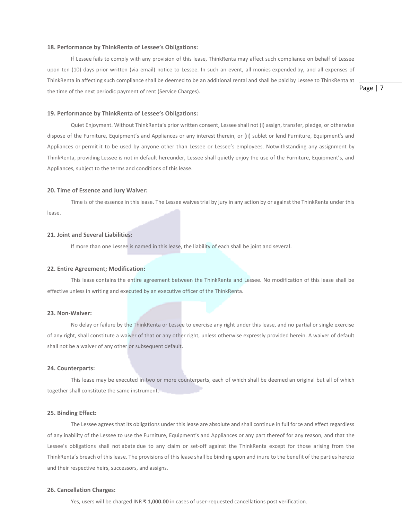## **18. Performance by ThinkRenta of Lessee's Obligations:**

If Lessee fails to comply with any provision of this lease, ThinkRenta may affect such compliance on behalf of Lessee upon ten (10) days prior written (via email) notice to Lessee. In such an event, all monies expended by, and all expenses of ThinkRenta in affecting such compliance shall be deemed to be an additional rental and shall be paid by Lessee to ThinkRenta at the time of the next periodic payment of rent (Service Charges).

Page | 7

## **19. Performance by ThinkRenta of Lessee's Obligations:**

Quiet Enjoyment. Without ThinkRenta's prior written consent, Lessee shall not (i) assign, transfer, pledge, or otherwise dispose of the Furniture, Equipment's and Appliances or any interest therein, or (ii) sublet or lend Furniture, Equipment's and Appliances or permit it to be used by anyone other than Lessee or Lessee's employees. Notwithstanding any assignment by ThinkRenta, providing Lessee is not in default hereunder, Lessee shall quietly enjoy the use of the Furniture, Equipment's, and Appliances, subject to the terms and conditions of this lease.

## **20. Time of Essence and Jury Waiver:**

Time is of the essence in this lease. The Lessee waives trial by jury in any action by or against the ThinkRenta under this lease.

#### **21. Joint and Several Liabilities:**

If more than one Lessee is named in this lease, the liability of each shall be joint and several.

#### **22. Entire Agreement; Modification:**

This lease contains the entire agreement between the ThinkRenta and Lessee. No modification of this lease shall be effective unless in writing and executed by an executive officer of the ThinkRenta.

## **23. Non-Waiver:**

No delay or failure by the ThinkRenta or Lessee to exercise any right under this lease, and no partial or single exercise of any right, shall constitute a waiver of that or any other right, unless otherwise expressly provided herein. A waiver of default shall not be a waiver of any other or subsequent default.

#### **24. Counterparts:**

This lease may be executed in two or more counterparts, each of which shall be deemed an original but all of which together shall constitute the same instrument.

## **25. Binding Effect:**

The Lessee agrees that its obligations under this lease are absolute and shall continue in full force and effect regardless of any inability of the Lessee to use the Furniture, Equipment's and Appliances or any part thereof for any reason, and that the Lessee's obligations shall not abate due to any claim or set-off against the ThinkRenta except for those arising from the ThinkRenta's breach of this lease. The provisions of this lease shall be binding upon and inure to the benefit of the parties hereto and their respective heirs, successors, and assigns.

## **26. Cancellation Charges:**

Yes, users will be charged INR **₹ 1,000.00** in cases of user-requested cancellations post verification.